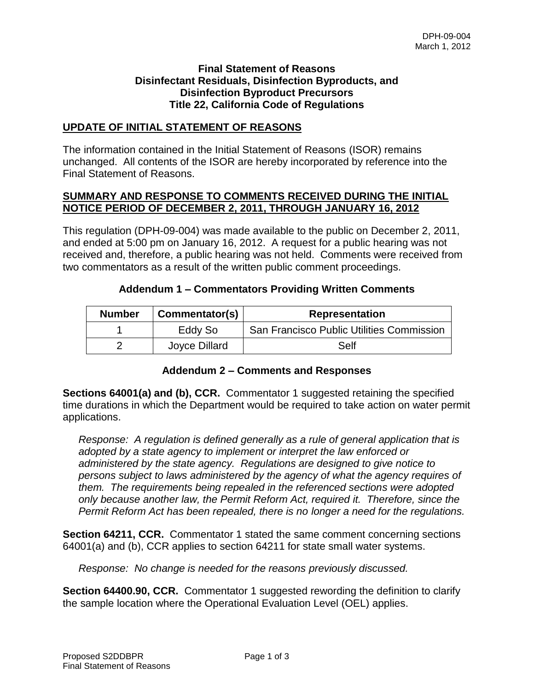## **Final Statement of Reasons Disinfectant Residuals, Disinfection Byproducts, and Disinfection Byproduct Precursors Title 22, California Code of Regulations**

### **UPDATE OF INITIAL STATEMENT OF REASONS**

The information contained in the Initial Statement of Reasons (ISOR) remains unchanged. All contents of the ISOR are hereby incorporated by reference into the Final Statement of Reasons.

## **SUMMARY AND RESPONSE TO COMMENTS RECEIVED DURING THE INITIAL NOTICE PERIOD OF DECEMBER 2, 2011, THROUGH JANUARY 16, 2012**

This regulation (DPH-09-004) was made available to the public on December 2, 2011, and ended at 5:00 pm on January 16, 2012. A request for a public hearing was not received and, therefore, a public hearing was not held. Comments were received from two commentators as a result of the written public comment proceedings.

|  | <b>Addendum 1 – Commentators Providing Written Comments</b> |
|--|-------------------------------------------------------------|
|--|-------------------------------------------------------------|

| <b>Number</b> | Commentator(s) | <b>Representation</b>                     |
|---------------|----------------|-------------------------------------------|
|               | Eddy So        | San Francisco Public Utilities Commission |
|               | Joyce Dillard  | Self                                      |

## **Addendum 2 – Comments and Responses**

**Sections 64001(a) and (b), CCR.** Commentator 1 suggested retaining the specified time durations in which the Department would be required to take action on water permit applications.

*Response: A regulation is defined generally as a rule of general application that is adopted by a state agency to implement or interpret the law enforced or administered by the state agency. Regulations are designed to give notice to persons subject to laws administered by the agency of what the agency requires of them. The requirements being repealed in the referenced sections were adopted only because another law, the Permit Reform Act, required it. Therefore, since the Permit Reform Act has been repealed, there is no longer a need for the regulations.* 

**Section 64211, CCR.** Commentator 1 stated the same comment concerning sections 64001(a) and (b), CCR applies to section 64211 for state small water systems.

*Response: No change is needed for the reasons previously discussed.*

**Section 64400.90, CCR.** Commentator 1 suggested rewording the definition to clarify the sample location where the Operational Evaluation Level (OEL) applies.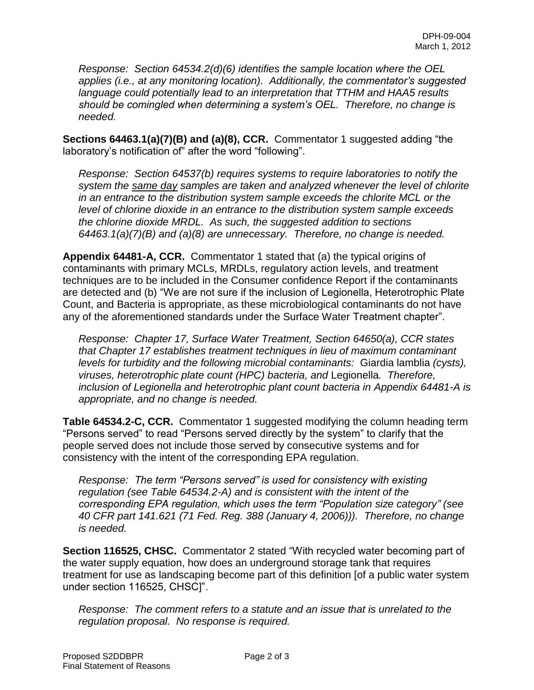*Response: Section 64534.2(d)(6) identifies the sample location where the OEL applies (i.e., at any monitoring location). Additionally, the commentator's suggested language could potentially lead to an interpretation that TTHM and HAA5 results should be comingled when determining a system's OEL. Therefore, no change is needed.*

**Sections 64463.1(a)(7)(B) and (a)(8), CCR.** Commentator 1 suggested adding "the laboratory's notification of" after the word "following".

*Response: Section 64537(b) requires systems to require laboratories to notify the system the same day samples are taken and analyzed whenever the level of chlorite in an entrance to the distribution system sample exceeds the chlorite MCL or the level of chlorine dioxide in an entrance to the distribution system sample exceeds the chlorine dioxide MRDL. As such, the suggested addition to sections 64463.1(a)(7)(B) and (a)(8) are unnecessary. Therefore, no change is needed.*

**Appendix 64481-A, CCR.** Commentator 1 stated that (a) the typical origins of contaminants with primary MCLs, MRDLs, regulatory action levels, and treatment techniques are to be included in the Consumer confidence Report if the contaminants are detected and (b) "We are not sure if the inclusion of Legionella, Heterotrophic Plate Count, and Bacteria is appropriate, as these microbiological contaminants do not have any of the aforementioned standards under the Surface Water Treatment chapter".

*Response: Chapter 17, Surface Water Treatment, Section 64650(a), CCR states that Chapter 17 establishes treatment techniques in lieu of maximum contaminant levels for turbidity and the following microbial contaminants:* Giardia lamblia *(cysts), viruses, heterotrophic plate count (HPC) bacteria, and* Legionella*. Therefore, inclusion of Legionella and heterotrophic plant count bacteria in Appendix 64481-A is appropriate, and no change is needed.*

**Table 64534.2-C, CCR.** Commentator 1 suggested modifying the column heading term "Persons served" to read "Persons served directly by the system" to clarify that the people served does not include those served by consecutive systems and for consistency with the intent of the corresponding EPA regulation.

*Response: The term "Persons served" is used for consistency with existing regulation (see Table 64534.2-A) and is consistent with the intent of the corresponding EPA regulation, which uses the term "Population size category" (see 40 CFR part 141.621 (71 Fed. Reg. 388 (January 4, 2006))). Therefore, no change is needed.*

**Section 116525, CHSC.** Commentator 2 stated "With recycled water becoming part of the water supply equation, how does an underground storage tank that requires treatment for use as landscaping become part of this definition [of a public water system under section 116525, CHSC]".

*Response: The comment refers to a statute and an issue that is unrelated to the regulation proposal. No response is required.*